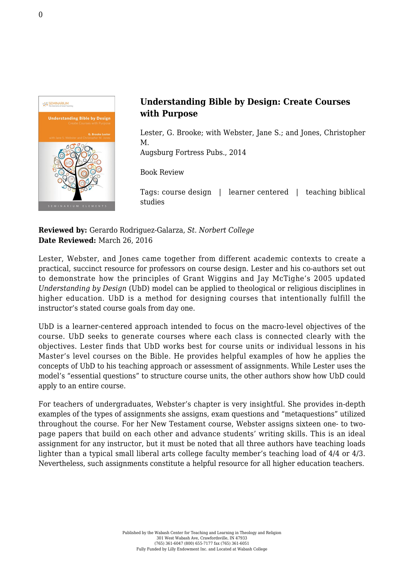

## **Understanding Bible by Design: Create Courses with Purpose**

Lester, G. Brooke; with Webster, Jane S.; and Jones, Christopher M.

[Augsburg Fortress Pubs., 2014](http://store.fortresspress.com/store/product/19988/Understanding-Bible-by-Design-Create-Courses-with-Purpose)

Book Review

Tags: course design | learner centered | teaching biblical studies

**Reviewed by:** Gerardo Rodriguez-Galarza, *St. Norbert College* **Date Reviewed:** March 26, 2016

Lester, Webster, and Jones came together from different academic contexts to create a practical, succinct resource for professors on course design. Lester and his co-authors set out to demonstrate how the principles of Grant Wiggins and Jay McTighe's 2005 updated *Understanding by Design* (UbD) model can be applied to theological or religious disciplines in higher education. UbD is a method for designing courses that intentionally fulfill the instructor's stated course goals from day one.

UbD is a learner-centered approach intended to focus on the macro-level objectives of the course. UbD seeks to generate courses where each class is connected clearly with the objectives. Lester finds that UbD works best for course units or individual lessons in his Master's level courses on the Bible. He provides helpful examples of how he applies the concepts of UbD to his teaching approach or assessment of assignments. While Lester uses the model's "essential questions" to structure course units, the other authors show how UbD could apply to an entire course.

For teachers of undergraduates, Webster's chapter is very insightful. She provides in-depth examples of the types of assignments she assigns, exam questions and "metaquestions" utilized throughout the course. For her New Testament course, Webster assigns sixteen one- to twopage papers that build on each other and advance students' writing skills. This is an ideal assignment for any instructor, but it must be noted that all three authors have teaching loads lighter than a typical small liberal arts college faculty member's teaching load of 4/4 or 4/3. Nevertheless, such assignments constitute a helpful resource for all higher education teachers.